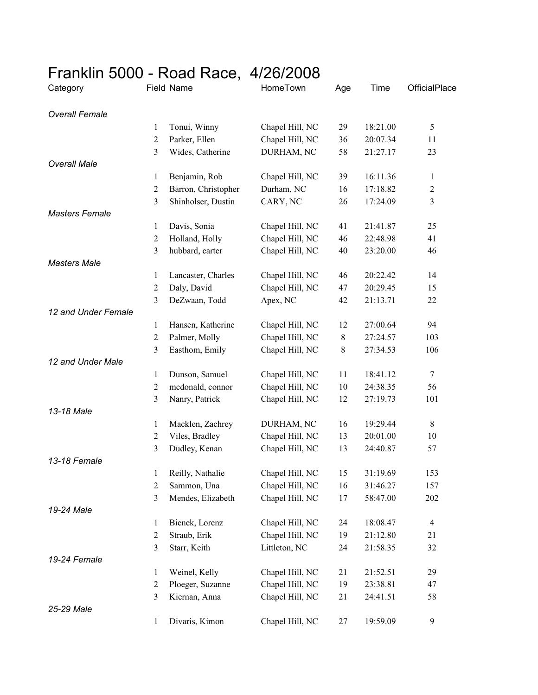## Franklin 5000 - Road Race, 4/26/2008

| Category              |                  | Field Name          | HomeTown        | Age | Time     | OfficialPlace    |
|-----------------------|------------------|---------------------|-----------------|-----|----------|------------------|
| <b>Overall Female</b> |                  |                     |                 |     |          |                  |
|                       | $\mathbf{1}$     | Tonui, Winny        | Chapel Hill, NC | 29  | 18:21.00 | $\sqrt{5}$       |
|                       | $\overline{c}$   | Parker, Ellen       | Chapel Hill, NC | 36  | 20:07.34 | 11               |
|                       | 3                | Wides, Catherine    | DURHAM, NC      | 58  | 21:27.17 | 23               |
| <b>Overall Male</b>   |                  |                     |                 |     |          |                  |
|                       | $\mathbf{1}$     | Benjamin, Rob       | Chapel Hill, NC | 39  | 16:11.36 | $\mathbf{1}$     |
|                       | $\boldsymbol{2}$ | Barron, Christopher | Durham, NC      | 16  | 17:18.82 | $\overline{2}$   |
|                       | 3                | Shinholser, Dustin  | CARY, NC        | 26  | 17:24.09 | $\mathfrak{Z}$   |
| <b>Masters Female</b> |                  |                     |                 |     |          |                  |
|                       | $\mathbf{1}$     | Davis, Sonia        | Chapel Hill, NC | 41  | 21:41.87 | 25               |
|                       | $\overline{c}$   | Holland, Holly      | Chapel Hill, NC | 46  | 22:48.98 | 41               |
|                       | 3                | hubbard, carter     | Chapel Hill, NC | 40  | 23:20.00 | 46               |
| <b>Masters Male</b>   |                  |                     |                 |     |          |                  |
|                       | 1                | Lancaster, Charles  | Chapel Hill, NC | 46  | 20:22.42 | 14               |
|                       | $\boldsymbol{2}$ | Daly, David         | Chapel Hill, NC | 47  | 20:29.45 | 15               |
|                       | 3                | DeZwaan, Todd       | Apex, NC        | 42  | 21:13.71 | 22               |
| 12 and Under Female   |                  |                     |                 |     |          |                  |
|                       | $\mathbf{1}$     | Hansen, Katherine   | Chapel Hill, NC | 12  | 27:00.64 | 94               |
|                       | $\overline{c}$   | Palmer, Molly       | Chapel Hill, NC | 8   | 27:24.57 | 103              |
|                       | 3                | Easthom, Emily      | Chapel Hill, NC | 8   | 27:34.53 | 106              |
| 12 and Under Male     |                  |                     |                 |     |          |                  |
|                       | $\mathbf{1}$     | Dunson, Samuel      | Chapel Hill, NC | 11  | 18:41.12 | $\tau$           |
|                       | $\overline{c}$   | mcdonald, connor    | Chapel Hill, NC | 10  | 24:38.35 | 56               |
|                       | 3                | Nanry, Patrick      | Chapel Hill, NC | 12  | 27:19.73 | 101              |
| 13-18 Male            |                  |                     |                 |     |          |                  |
|                       | $\mathbf{1}$     | Macklen, Zachrey    | DURHAM, NC      | 16  | 19:29.44 | 8                |
|                       | $\boldsymbol{2}$ | Viles, Bradley      | Chapel Hill, NC | 13  | 20:01.00 | 10               |
|                       | 3                | Dudley, Kenan       | Chapel Hill, NC | 13  | 24:40.87 | 57               |
| 13-18 Female          |                  |                     |                 |     |          |                  |
|                       | 1                | Reilly, Nathalie    | Chapel Hill, NC | 15  | 31:19.69 | 153              |
|                       | $\overline{c}$   | Sammon, Una         | Chapel Hill, NC | 16  | 31:46.27 | 157              |
|                       | 3                | Mendes, Elizabeth   | Chapel Hill, NC | 17  | 58:47.00 | 202              |
| 19-24 Male            |                  |                     |                 |     |          |                  |
|                       | $\mathbf{1}$     | Bienek, Lorenz      | Chapel Hill, NC | 24  | 18:08.47 | $\overline{4}$   |
|                       | $\overline{2}$   | Straub, Erik        | Chapel Hill, NC | 19  | 21:12.80 | 21               |
|                       | 3                | Starr, Keith        | Littleton, NC   | 24  | 21:58.35 | 32               |
| 19-24 Female          |                  |                     |                 |     |          |                  |
|                       | $\mathbf{1}$     | Weinel, Kelly       | Chapel Hill, NC | 21  | 21:52.51 | 29               |
|                       | $\overline{c}$   | Ploeger, Suzanne    | Chapel Hill, NC | 19  | 23:38.81 | 47               |
|                       | 3                | Kiernan, Anna       | Chapel Hill, NC | 21  | 24:41.51 | 58               |
| 25-29 Male            |                  |                     |                 |     |          |                  |
|                       | $\mathbf{1}$     | Divaris, Kimon      | Chapel Hill, NC | 27  | 19:59.09 | $\boldsymbol{9}$ |
|                       |                  |                     |                 |     |          |                  |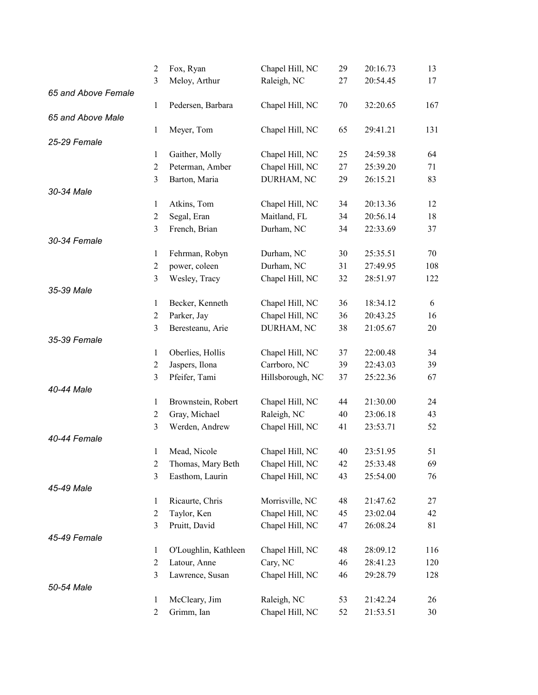|                     | $\overline{2}$ | Fox, Ryan            | Chapel Hill, NC  | 29     | 20:16.73 | 13  |
|---------------------|----------------|----------------------|------------------|--------|----------|-----|
|                     | 3              | Meloy, Arthur        | Raleigh, NC      | 27     | 20:54.45 | 17  |
| 65 and Above Female |                |                      |                  |        |          |     |
|                     | 1              | Pedersen, Barbara    | Chapel Hill, NC  | $70\,$ | 32:20.65 | 167 |
| 65 and Above Male   |                |                      |                  |        |          |     |
|                     | $\mathbf{1}$   | Meyer, Tom           | Chapel Hill, NC  | 65     | 29:41.21 | 131 |
| 25-29 Female        |                |                      |                  |        |          |     |
|                     | $\mathbf{1}$   | Gaither, Molly       | Chapel Hill, NC  | 25     | 24:59.38 | 64  |
|                     | $\overline{2}$ | Peterman, Amber      | Chapel Hill, NC  | 27     | 25:39.20 | 71  |
|                     | 3              | Barton, Maria        | DURHAM, NC       | 29     | 26:15.21 | 83  |
| 30-34 Male          |                |                      |                  |        |          |     |
|                     | $\mathbf{1}$   | Atkins, Tom          | Chapel Hill, NC  | 34     | 20:13.36 | 12  |
|                     | $\overline{c}$ | Segal, Eran          | Maitland, FL     | 34     | 20:56.14 | 18  |
|                     | 3              | French, Brian        | Durham, NC       | 34     | 22:33.69 | 37  |
| 30-34 Female        |                |                      |                  |        |          |     |
|                     | 1              | Fehrman, Robyn       | Durham, NC       | 30     | 25:35.51 | 70  |
|                     | $\mathfrak{2}$ | power, coleen        | Durham, NC       | 31     | 27:49.95 | 108 |
|                     | 3              | Wesley, Tracy        | Chapel Hill, NC  | 32     | 28:51.97 | 122 |
| 35-39 Male          |                |                      |                  |        |          |     |
|                     | $\mathbf{1}$   | Becker, Kenneth      | Chapel Hill, NC  | 36     | 18:34.12 | 6   |
|                     | $\mathfrak{2}$ | Parker, Jay          | Chapel Hill, NC  | 36     | 20:43.25 | 16  |
|                     | 3              | Beresteanu, Arie     | DURHAM, NC       | 38     | 21:05.67 | 20  |
| 35-39 Female        |                |                      |                  |        |          |     |
|                     | $\mathbf{1}$   | Oberlies, Hollis     | Chapel Hill, NC  | 37     | 22:00.48 | 34  |
|                     | $\overline{c}$ | Jaspers, Ilona       | Carrboro, NC     | 39     | 22:43.03 | 39  |
|                     | 3              | Pfeifer, Tami        | Hillsborough, NC | 37     | 25:22.36 | 67  |
| 40-44 Male          |                |                      |                  |        |          |     |
|                     | $\mathbf{1}$   | Brownstein, Robert   | Chapel Hill, NC  | 44     | 21:30.00 | 24  |
|                     | $\mathfrak{2}$ | Gray, Michael        | Raleigh, NC      | 40     | 23:06.18 | 43  |
|                     | 3              | Werden, Andrew       | Chapel Hill, NC  | 41     | 23:53.71 | 52  |
| 40-44 Female        |                |                      |                  |        |          |     |
|                     | 1              | Mead, Nicole         | Chapel Hill, NC  | 40     | 23:51.95 | 51  |
|                     | $\overline{2}$ | Thomas, Mary Beth    | Chapel Hill, NC  | 42     | 25:33.48 | 69  |
|                     | 3              | Easthom, Laurin      | Chapel Hill, NC  | 43     | 25:54.00 | 76  |
| 45-49 Male          |                |                      |                  |        |          |     |
|                     | 1              | Ricaurte, Chris      | Morrisville, NC  | 48     | 21:47.62 | 27  |
|                     | $\overline{c}$ | Taylor, Ken          | Chapel Hill, NC  | 45     | 23:02.04 | 42  |
|                     | $\mathfrak{Z}$ | Pruitt, David        | Chapel Hill, NC  | 47     | 26:08.24 | 81  |
| 45-49 Female        |                |                      |                  |        |          |     |
|                     | $\mathbf{1}$   | O'Loughlin, Kathleen | Chapel Hill, NC  | 48     | 28:09.12 | 116 |
|                     | $\mathfrak{2}$ | Latour, Anne         | Cary, NC         | 46     | 28:41.23 | 120 |
|                     | 3              | Lawrence, Susan      | Chapel Hill, NC  | 46     | 29:28.79 | 128 |
| 50-54 Male          |                |                      |                  |        |          |     |
|                     | 1              | McCleary, Jim        | Raleigh, NC      | 53     | 21:42.24 | 26  |
|                     | $\overline{c}$ | Grimm, Ian           | Chapel Hill, NC  | 52     | 21:53.51 | 30  |